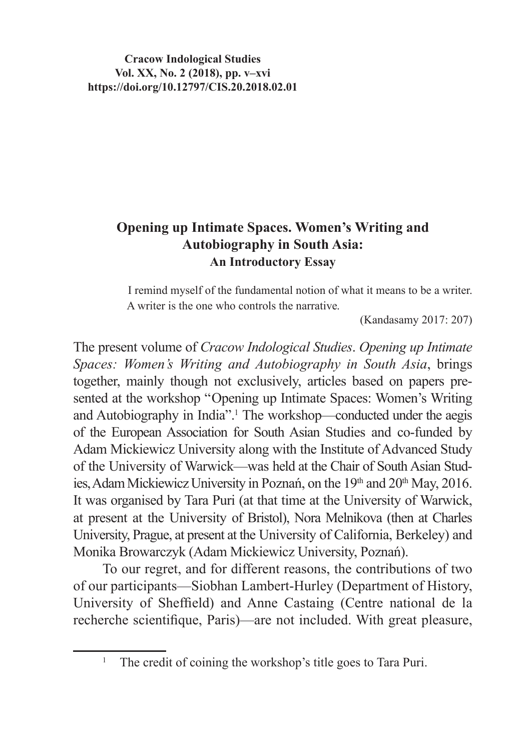**Cracow Indological Studies Vol. XX, No. 2 (2018), pp. v–xvi https://doi.org/10.12797/CIS.20.2018.02.01**

## **Opening up Intimate Spaces. Women's Writing and Autobiography in South Asia: An Introductory Essay**

I remind myself of the fundamental notion of what it means to be a writer. A writer is the one who controls the narrative*.*

(Kandasamy 2017: 207)

The present volume of *Cracow Indological Studies*. *Opening up Intimate Spaces: Women's Writing and Autobiography in South Asia*, brings together, mainly though not exclusively, articles based on papers presented at the workshop "Opening up Intimate Spaces: Women's Writing and Autobiography in India".<sup>1</sup> The workshop—conducted under the aegis of the European Association for South Asian Studies and co-funded by Adam Mickiewicz University along with the Institute of Advanced Study of the University of Warwick—was held at the Chair of South Asian Studies, Adam Mickiewicz University in Poznań, on the 19th and 20th May, 2016. It was organised by Tara Puri (at that time at the University of Warwick, at present at the University of Bristol), Nora Melnikova (then at Charles University, Prague, at present at the University of California, Berkeley) and Monika Browarczyk (Adam Mickiewicz University, Poznań).

To our regret, and for different reasons, the contributions of two of our participants—Siobhan Lambert-Hurley (Department of History, University of Sheffield) and Anne Castaing (Centre national de la recherche scientifique, Paris)—are not included. With great pleasure,

<sup>&</sup>lt;sup>1</sup> The credit of coining the workshop's title goes to Tara Puri.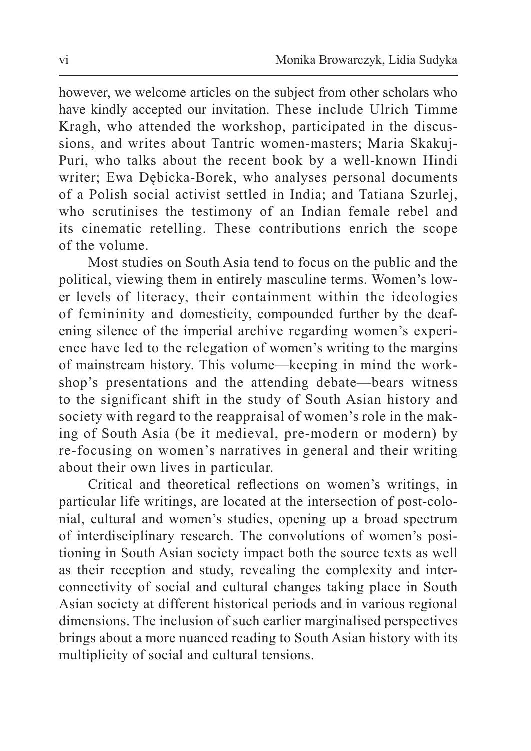however, we welcome articles on the subject from other scholars who have kindly accepted our invitation. These include Ulrich Timme Kragh, who attended the workshop, participated in the discussions, and writes about Tantric women-masters; Maria Skakuj-Puri, who talks about the recent book by a well-known Hindi writer; Ewa Dębicka-Borek, who analyses personal documents of a Polish social activist settled in India; and Tatiana Szurlej, who scrutinises the testimony of an Indian female rebel and its cinematic retelling. These contributions enrich the scope of the volume.

Most studies on South Asia tend to focus on the public and the political, viewing them in entirely masculine terms. Women's lower levels of literacy, their containment within the ideologies of femininity and domesticity, compounded further by the deafening silence of the imperial archive regarding women's experience have led to the relegation of women's writing to the margins of mainstream history. This volume—keeping in mind the workshop's presentations and the attending debate—bears witness to the significant shift in the study of South Asian history and society with regard to the reappraisal of women's role in the making of South Asia (be it medieval, pre-modern or modern) by re-focusing on women's narratives in general and their writing about their own lives in particular.

Critical and theoretical reflections on women's writings, in particular life writings, are located at the intersection of post-colonial, cultural and women's studies, opening up a broad spectrum of interdisciplinary research. The convolutions of women's positioning in South Asian society impact both the source texts as well as their reception and study, revealing the complexity and interconnectivity of social and cultural changes taking place in South Asian society at different historical periods and in various regional dimensions. The inclusion of such earlier marginalised perspectives brings about a more nuanced reading to South Asian history with its multiplicity of social and cultural tensions.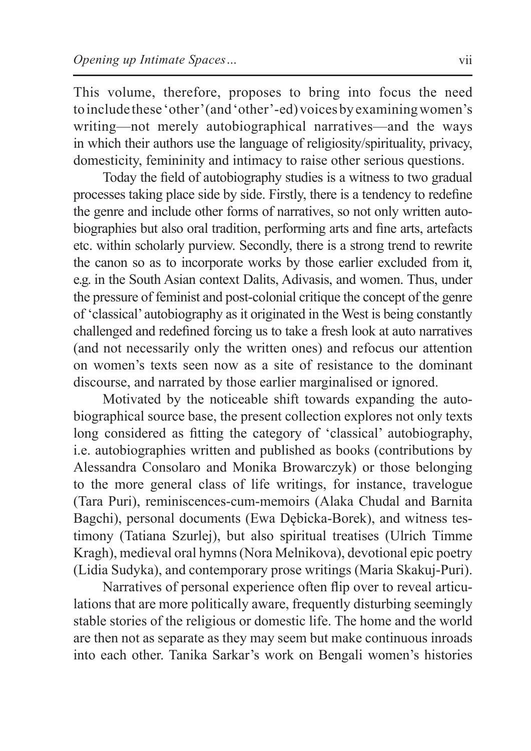This volume, therefore, proposes to bring into focus the need to include these 'other'(and'other'-ed)voicesbyexaminingwomen's writing—not merely autobiographical narratives—and the ways in which their authors use the language of religiosity/spirituality, privacy, domesticity, femininity and intimacy to raise other serious questions.

Today the field of autobiography studies is a witness to two gradual processes taking place side by side. Firstly, there is a tendency to redefine the genre and include other forms of narratives, so not only written autobiographies but also oral tradition, performing arts and fine arts, artefacts etc. within scholarly purview. Secondly, there is a strong trend to rewrite the canon so as to incorporate works by those earlier excluded from it, e.g. in the South Asian context Dalits, Adivasis, and women. Thus, under the pressure of feminist and post-colonial critique the concept of the genre of 'classical' autobiography as it originated in the West is being constantly challenged and redefined forcing us to take a fresh look at auto narratives (and not necessarily only the written ones) and refocus our attention on women's texts seen now as a site of resistance to the dominant discourse, and narrated by those earlier marginalised or ignored.

Motivated by the noticeable shift towards expanding the autobiographical source base, the present collection explores not only texts long considered as fitting the category of 'classical' autobiography, i.e. autobiographies written and published as books (contributions by Alessandra Consolaro and Monika Browarczyk) or those belonging to the more general class of life writings, for instance, travelogue (Tara Puri), reminiscences-cum-memoirs (Alaka Chudal and Barnita Bagchi), personal documents (Ewa Dębicka-Borek), and witness testimony (Tatiana Szurlej), but also spiritual treatises (Ulrich Timme Kragh), medieval oral hymns(Nora Melnikova), devotional epic poetry (Lidia Sudyka), and contemporary prose writings (Maria Skakuj-Puri).

Narratives of personal experience often flip over to reveal articulations that are more politically aware, frequently disturbing seemingly stable stories of the religious or domestic life. The home and the world are then not as separate as they may seem but make continuous inroads into each other. Tanika Sarkar's work on Bengali women's histories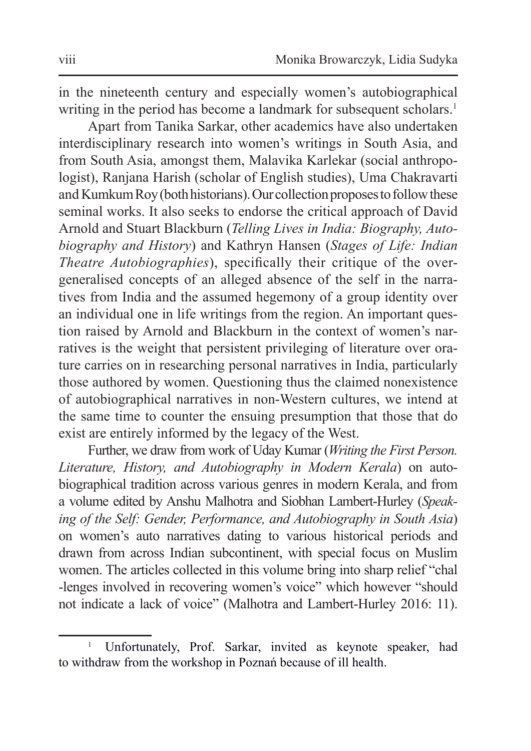in the nineteenth century and especially women's autobiographical writing in the period has become a landmark for subsequent scholars.<sup>1</sup>

Apart from Tanika Sarkar, other academics have also undertaken interdisciplinary research into women's writings in South Asia, and from South Asia, amongst them, Malavika Karlekar (social anthropologist), Ranjana Harish (scholar of English studies), Uma Chakravarti and Kumkum Roy (both historians). Our collection proposes to follow these seminal works. It also seeks to endorse the critical approach of David Arnold and Stuart Blackburn (*Telling Lives in India: Biography, Autobiography and History*) and Kathryn Hansen (*Stages of Life: Indian Theatre Autobiographies*), specifically their critique of the overgeneralised concepts of an alleged absence of the self in the narratives from India and the assumed hegemony of a group identity over an individual one in life writings from the region. An important question raised by Arnold and Blackburn in the context of women's narratives is the weight that persistent privileging of literature over orature carries on in researching personal narratives in India, particularly those authored by women. Questioning thus the claimed nonexistence of autobiographical narratives in non-Western cultures, we intend at the same time to counter the ensuing presumption that those that do exist are entirely informed by the legacy of the West.

Further, we draw from work of Uday Kumar (*Writing the First Person. Literature, History, and Autobiography in Modern Kerala*) on autobiographical tradition across various genres in modern Kerala, and from a volume edited by Anshu Malhotra and Siobhan Lambert-Hurley (*Speaking of the Self: Gender, Performance, and Autobiography in South Asia*) on women's auto narratives dating to various historical periods and drawn from across Indian subcontinent, with special focus on Muslim women. The articles collected in this volume bring into sharp relief "chal -lenges involved in recovering women's voice" which however "should not indicate a lack of voice" (Malhotra and Lambert-Hurley 2016: 11).

<sup>1</sup> Unfortunately, Prof. Sarkar, invited as keynote speaker, had to withdraw from the workshop in Poznań because of ill health.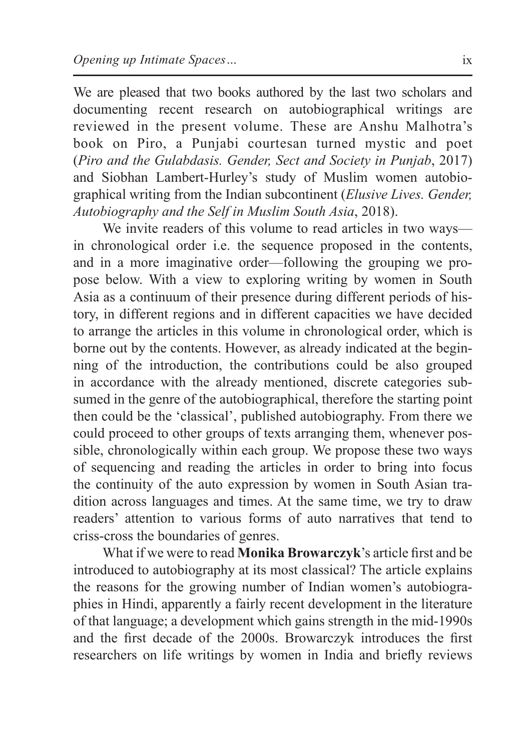We are pleased that two books authored by the last two scholars and documenting recent research on autobiographical writings are reviewed in the present volume. These are Anshu Malhotra's book on Piro, a Punjabi courtesan turned mystic and poet (*Piro and the Gulabdasis. Gender, Sect and Society in Punjab*, 2017) and Siobhan Lambert-Hurley's study of Muslim women autobiographical writing from the Indian subcontinent (*Elusive Lives. Gender, Autobiography and the Self in Muslim South Asia*, 2018).

We invite readers of this volume to read articles in two ways in chronological order i.e. the sequence proposed in the contents, and in a more imaginative order—following the grouping we propose below. With a view to exploring writing by women in South Asia as a continuum of their presence during different periods of history, in different regions and in different capacities we have decided to arrange the articles in this volume in chronological order, which is borne out by the contents. However, as already indicated at the beginning of the introduction, the contributions could be also grouped in accordance with the already mentioned, discrete categories subsumed in the genre of the autobiographical, therefore the starting point then could be the 'classical', published autobiography. From there we could proceed to other groups of texts arranging them, whenever possible, chronologically within each group. We propose these two ways of sequencing and reading the articles in order to bring into focus the continuity of the auto expression by women in South Asian tradition across languages and times. At the same time, we try to draw readers' attention to various forms of auto narratives that tend to criss-cross the boundaries of genres.

What if we were to read **Monika Browarczyk**'s article first and be introduced to autobiography at its most classical? The article explains the reasons for the growing number of Indian women's autobiographies in Hindi, apparently a fairly recent development in the literature of that language; a development which gains strength in the mid-1990s and the first decade of the 2000s. Browarczyk introduces the first researchers on life writings by women in India and briefly reviews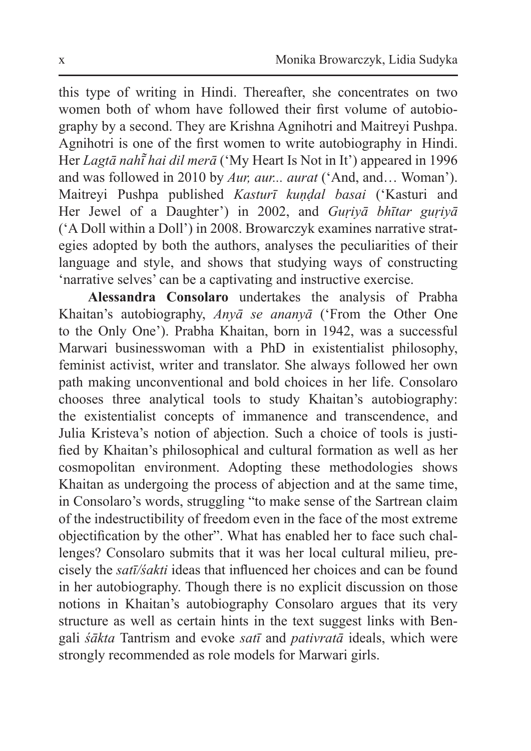this type of writing in Hindi. Thereafter, she concentrates on two women both of whom have followed their first volume of autobiography by a second. They are Krishna Agnihotri and Maitreyi Pushpa. Agnihotri is one of the first women to write autobiography in Hindi. Her *Lagtā nahī͂ hai dil merā* ('My Heart Is Not in It') appeared in 1996 and was followed in 2010 by *Aur, aur... aurat* ('And, and… Woman'). Maitreyi Pushpa published *Kasturī kuṇḍal basai* ('Kasturi and Her Jewel of a Daughter') in 2002, and *Guṛiyā bhītar guṛiyā* ('A Doll within a Doll') in 2008. Browarczyk examines narrative strategies adopted by both the authors, analyses the peculiarities of their language and style, and shows that studying ways of constructing 'narrative selves' can be a captivating and instructive exercise.

**Alessandra Consolaro** undertakes the analysis of Prabha Khaitan's autobiography, *Anyā se ananyā* ('From the Other One to the Only One'). Prabha Khaitan, born in 1942, was a successful Marwari businesswoman with a PhD in existentialist philosophy, feminist activist, writer and translator. She always followed her own path making unconventional and bold choices in her life. Consolaro chooses three analytical tools to study Khaitan's autobiography: the existentialist concepts of immanence and transcendence, and Julia Kristeva's notion of abjection. Such a choice of tools is justified by Khaitan's philosophical and cultural formation as well as her cosmopolitan environment. Adopting these methodologies shows Khaitan as undergoing the process of abjection and at the same time, in Consolaro's words, struggling "to make sense of the Sartrean claim of the indestructibility of freedom even in the face of the most extreme objectification by the other". What has enabled her to face such challenges? Consolaro submits that it was her local cultural milieu, precisely the *satī/śakti* ideas that influenced her choices and can be found in her autobiography. Though there is no explicit discussion on those notions in Khaitan's autobiography Consolaro argues that its very structure as well as certain hints in the text suggest links with Bengali *śākta* Tantrism and evoke *satī* and *pativratā* ideals, which were strongly recommended as role models for Marwari girls.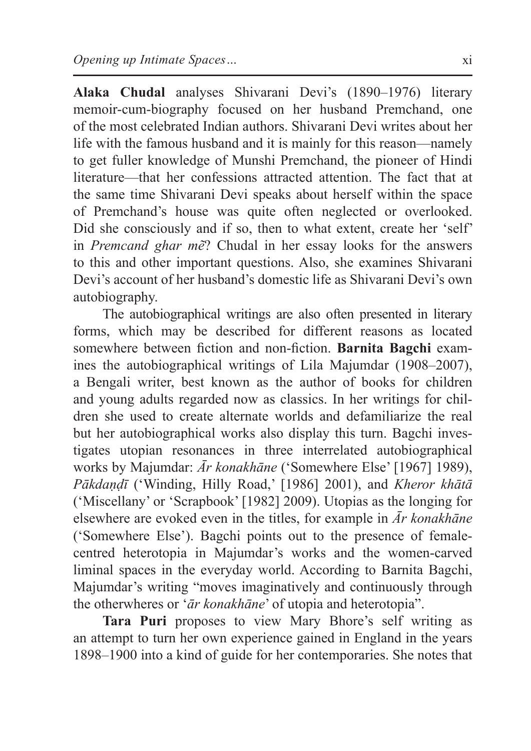**Alaka Chudal** analyses Shivarani Devi's (1890–1976) literary memoir-cum-biography focused on her husband Premchand, one of the most celebrated Indian authors. Shivarani Devi writes about her life with the famous husband and it is mainly for this reason—namely to get fuller knowledge of Munshi Premchand, the pioneer of Hindi literature—that her confessions attracted attention. The fact that at the same time Shivarani Devi speaks about herself within the space of Premchand's house was quite often neglected or overlooked. Did she consciously and if so, then to what extent, create her 'self' in *Premcand ghar mẽ*? Chudal in her essay looks for the answers to this and other important questions. Also, she examines Shivarani Devi's account of her husband's domestic life as Shivarani Devi's own autobiography.

The autobiographical writings are also often presented in literary forms, which may be described for different reasons as located somewhere between fiction and non-fiction. **Barnita Bagchi** examines the autobiographical writings of Lila Majumdar (1908–2007), a Bengali writer, best known as the author of books for children and young adults regarded now as classics. In her writings for children she used to create alternate worlds and defamiliarize the real but her autobiographical works also display this turn. Bagchi investigates utopian resonances in three interrelated autobiographical works by Majumdar: *Ār konakhāne* ('Somewhere Else' [1967] 1989), *Pākdaṇḍī* ('Winding, Hilly Road,' [1986] 2001), and *Kheror khātā* ('Miscellany' or 'Scrapbook' [1982] 2009). Utopias as the longing for elsewhere are evoked even in the titles, for example in *Ār konakhāne* ('Somewhere Else'). Bagchi points out to the presence of femalecentred heterotopia in Majumdar's works and the women-carved liminal spaces in the everyday world. According to Barnita Bagchi, Majumdar's writing "moves imaginatively and continuously through the otherwheres or '*ār konakhāne*' of utopia and heterotopia".

**Tara Puri** proposes to view Mary Bhore's self writing as an attempt to turn her own experience gained in England in the years 1898–1900 into a kind of guide for her contemporaries. She notes that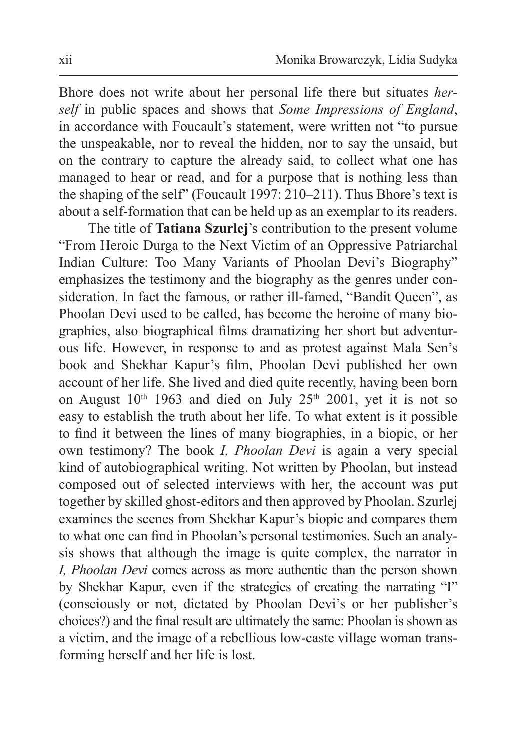Bhore does not write about her personal life there but situates *herself* in public spaces and shows that *Some Impressions of England*, in accordance with Foucault's statement, were written not "to pursue the unspeakable, nor to reveal the hidden, nor to say the unsaid, but on the contrary to capture the already said, to collect what one has managed to hear or read, and for a purpose that is nothing less than the shaping of the self" (Foucault 1997: 210–211). Thus Bhore's text is about a self-formation that can be held up as an exemplar to its readers.

The title of **Tatiana Szurlej**'s contribution to the present volume "From Heroic Durga to the Next Victim of an Oppressive Patriarchal Indian Culture: Too Many Variants of Phoolan Devi's Biography" emphasizes the testimony and the biography as the genres under consideration. In fact the famous, or rather ill-famed, "Bandit Queen", as Phoolan Devi used to be called, has become the heroine of many biographies, also biographical films dramatizing her short but adventurous life. However, in response to and as protest against Mala Sen's book and Shekhar Kapur's film, Phoolan Devi published her own account of her life. She lived and died quite recently, having been born on August  $10<sup>th</sup> 1963$  and died on July  $25<sup>th</sup> 2001$ , yet it is not so easy to establish the truth about her life. To what extent is it possible to find it between the lines of many biographies, in a biopic, or her own testimony? The book *I, Phoolan Devi* is again a very special kind of autobiographical writing. Not written by Phoolan, but instead composed out of selected interviews with her, the account was put together by skilled ghost-editors and then approved by Phoolan. Szurlej examines the scenes from Shekhar Kapur's biopic and compares them to what one can find in Phoolan's personal testimonies. Such an analysis shows that although the image is quite complex, the narrator in *I, Phoolan Devi* comes across as more authentic than the person shown by Shekhar Kapur, even if the strategies of creating the narrating "I" (consciously or not, dictated by Phoolan Devi's or her publisher's choices?) and the final result are ultimately the same: Phoolan is shown as a victim, and the image of a rebellious low-caste village woman transforming herself and her life is lost.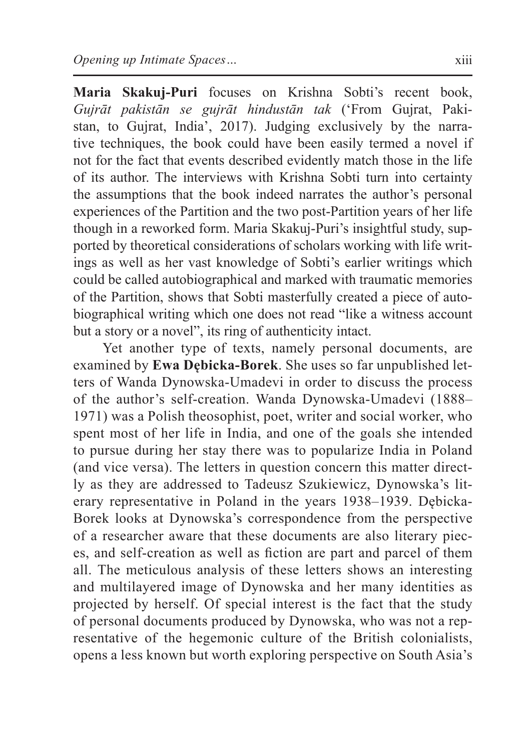**Maria Skakuj-Puri** focuses on Krishna Sobti's recent book, *Gujrāt pakistān se gujrāt hindustān tak* ('From Gujrat, Pakistan, to Gujrat, India', 2017). Judging exclusively by the narrative techniques, the book could have been easily termed a novel if not for the fact that events described evidently match those in the life of its author. The interviews with Krishna Sobti turn into certainty the assumptions that the book indeed narrates the author's personal experiences of the Partition and the two post-Partition years of her life though in a reworked form. Maria Skakuj-Puri's insightful study, supported by theoretical considerations of scholars working with life writings as well as her vast knowledge of Sobti's earlier writings which could be called autobiographical and marked with traumatic memories of the Partition, shows that Sobti masterfully created a piece of autobiographical writing which one does not read "like a witness account but a story or a novel", its ring of authenticity intact.

Yet another type of texts, namely personal documents, are examined by **Ewa Dębicka-Borek**. She uses so far unpublished letters of Wanda Dynowska-Umadevi in order to discuss the process of the author's self-creation. Wanda Dynowska-Umadevi (1888– 1971) was a Polish theosophist, poet, writer and social worker, who spent most of her life in India, and one of the goals she intended to pursue during her stay there was to popularize India in Poland (and vice versa). The letters in question concern this matter directly as they are addressed to Tadeusz Szukiewicz, Dynowska's literary representative in Poland in the years 1938–1939. Dębicka-Borek looks at Dynowska's correspondence from the perspective of a researcher aware that these documents are also literary pieces, and self-creation as well as fiction are part and parcel of them all. The meticulous analysis of these letters shows an interesting and multilayered image of Dynowska and her many identities as projected by herself. Of special interest is the fact that the study of personal documents produced by Dynowska, who was not a representative of the hegemonic culture of the British colonialists, opens a less known but worth exploring perspective on South Asia's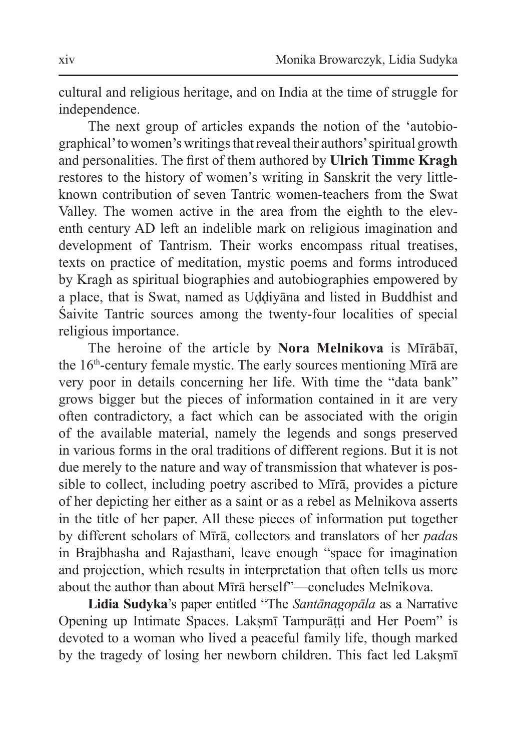cultural and religious heritage, and on India at the time of struggle for independence.

The next group of articles expands the notion of the 'autobiographical' to women's writings that reveal their authors' spiritual growth and personalities. The first of them authored by **Ulrich Timme Kragh** restores to the history of women's writing in Sanskrit the very littleknown contribution of seven Tantric women-teachers from the Swat Valley. The women active in the area from the eighth to the eleventh century AD left an indelible mark on religious imagination and development of Tantrism. Their works encompass ritual treatises, texts on practice of meditation, mystic poems and forms introduced by Kragh as spiritual biographies and autobiographies empowered by a place, that is Swat, named as Uḍḍiyāna and listed in Buddhist and Śaivite Tantric sources among the twenty-four localities of special religious importance.

The heroine of the article by **Nora Melnikova** is Mīrābāī, the 16<sup>th</sup>-century female mystic. The early sources mentioning Mīrā are very poor in details concerning her life. With time the "data bank" grows bigger but the pieces of information contained in it are very often contradictory, a fact which can be associated with the origin of the available material, namely the legends and songs preserved in various forms in the oral traditions of different regions. But it is not due merely to the nature and way of transmission that whatever is possible to collect, including poetry ascribed to Mīrā, provides a picture of her depicting her either as a saint or as a rebel as Melnikova asserts in the title of her paper. All these pieces of information put together by different scholars of Mīrā, collectors and translators of her *pada*s in Brajbhasha and Rajasthani, leave enough "space for imagination and projection, which results in interpretation that often tells us more about the author than about Mīrā herself"—concludes Melnikova.

**Lidia Sudyka**'s paper entitled "The *Santānagopāla* as a Narrative Opening up Intimate Spaces. Lakṣmī Tampurāṭṭi and Her Poem" is devoted to a woman who lived a peaceful family life, though marked by the tragedy of losing her newborn children. This fact led Laksmī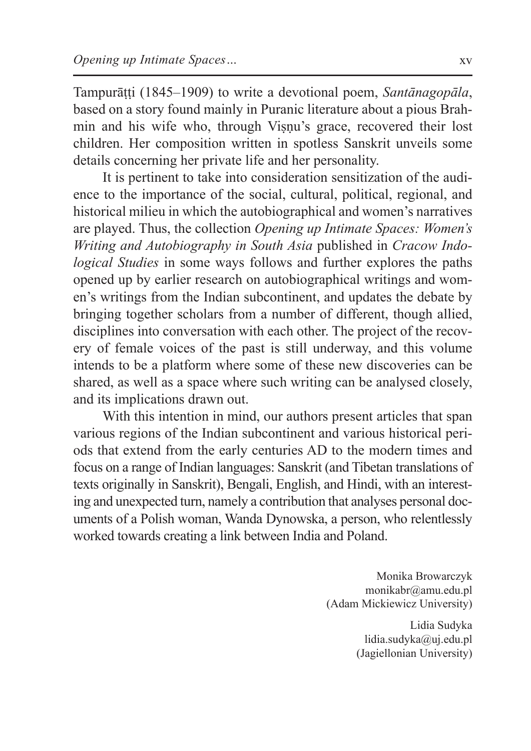Tampurāṭṭi (1845–1909) to write a devotional poem, *Santānagopāla*, based on a story found mainly in Puranic literature about a pious Brahmin and his wife who, through Viṣṇu's grace, recovered their lost children. Her composition written in spotless Sanskrit unveils some details concerning her private life and her personality.

It is pertinent to take into consideration sensitization of the audience to the importance of the social, cultural, political, regional, and historical milieu in which the autobiographical and women's narratives are played. Thus, the collection *Opening up Intimate Spaces: Women's Writing and Autobiography in South Asia* published in *Cracow Indological Studies* in some ways follows and further explores the paths opened up by earlier research on autobiographical writings and women's writings from the Indian subcontinent, and updates the debate by bringing together scholars from a number of different, though allied, disciplines into conversation with each other. The project of the recovery of female voices of the past is still underway, and this volume intends to be a platform where some of these new discoveries can be shared, as well as a space where such writing can be analysed closely, and its implications drawn out.

With this intention in mind, our authors present articles that span various regions of the Indian subcontinent and various historical periods that extend from the early centuries AD to the modern times and focus on a range of Indian languages: Sanskrit (and Tibetan translations of texts originally in Sanskrit), Bengali, English, and Hindi, with an interesting and unexpected turn, namely a contribution that analyses personal documents of a Polish woman, Wanda Dynowska, a person, who relentlessly worked towards creating a link between India and Poland.

> Monika Browarczyk monikabr@amu.edu.pl (Adam Mickiewicz University)

> > Lidia Sudyka lidia.sudyka@uj.edu.pl (Jagiellonian University)